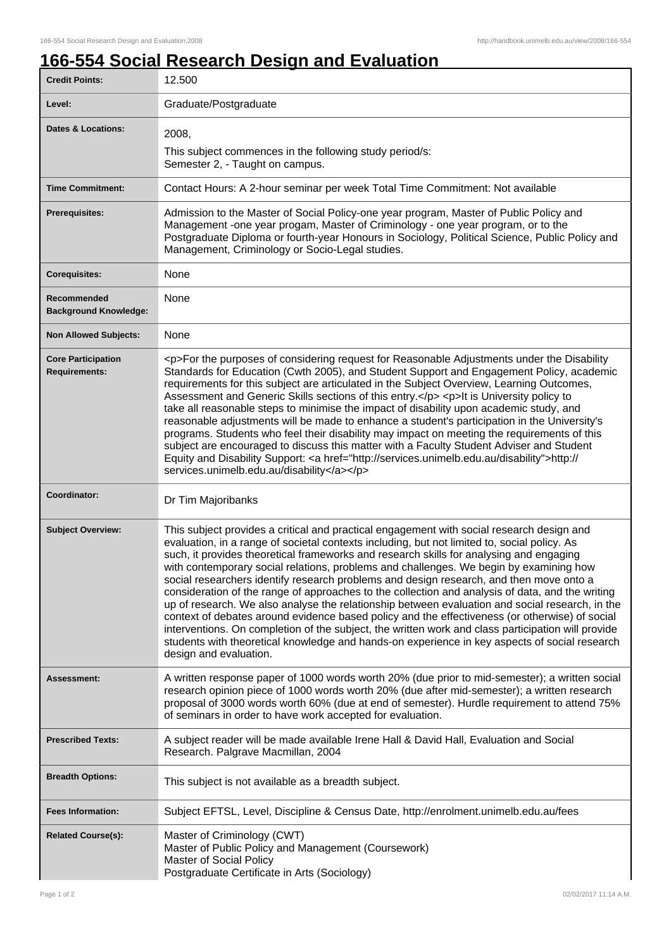٦

## **166-554 Social Research Design and Evaluation**

| <b>Credit Points:</b>                             | 12.500                                                                                                                                                                                                                                                                                                                                                                                                                                                                                                                                                                                                                                                                                                                                                                                                                                                                                                                                                                                                              |
|---------------------------------------------------|---------------------------------------------------------------------------------------------------------------------------------------------------------------------------------------------------------------------------------------------------------------------------------------------------------------------------------------------------------------------------------------------------------------------------------------------------------------------------------------------------------------------------------------------------------------------------------------------------------------------------------------------------------------------------------------------------------------------------------------------------------------------------------------------------------------------------------------------------------------------------------------------------------------------------------------------------------------------------------------------------------------------|
| Level:                                            | Graduate/Postgraduate                                                                                                                                                                                                                                                                                                                                                                                                                                                                                                                                                                                                                                                                                                                                                                                                                                                                                                                                                                                               |
| <b>Dates &amp; Locations:</b>                     | 2008,<br>This subject commences in the following study period/s:<br>Semester 2, - Taught on campus.                                                                                                                                                                                                                                                                                                                                                                                                                                                                                                                                                                                                                                                                                                                                                                                                                                                                                                                 |
| <b>Time Commitment:</b>                           | Contact Hours: A 2-hour seminar per week Total Time Commitment: Not available                                                                                                                                                                                                                                                                                                                                                                                                                                                                                                                                                                                                                                                                                                                                                                                                                                                                                                                                       |
| <b>Prerequisites:</b>                             | Admission to the Master of Social Policy-one year program, Master of Public Policy and<br>Management -one year progam, Master of Criminology - one year program, or to the<br>Postgraduate Diploma or fourth-year Honours in Sociology, Political Science, Public Policy and<br>Management, Criminology or Socio-Legal studies.                                                                                                                                                                                                                                                                                                                                                                                                                                                                                                                                                                                                                                                                                     |
| <b>Corequisites:</b>                              | None                                                                                                                                                                                                                                                                                                                                                                                                                                                                                                                                                                                                                                                                                                                                                                                                                                                                                                                                                                                                                |
| Recommended<br><b>Background Knowledge:</b>       | None                                                                                                                                                                                                                                                                                                                                                                                                                                                                                                                                                                                                                                                                                                                                                                                                                                                                                                                                                                                                                |
| <b>Non Allowed Subjects:</b>                      | None                                                                                                                                                                                                                                                                                                                                                                                                                                                                                                                                                                                                                                                                                                                                                                                                                                                                                                                                                                                                                |
| <b>Core Participation</b><br><b>Requirements:</b> | <p>For the purposes of considering request for Reasonable Adjustments under the Disability<br/>Standards for Education (Cwth 2005), and Student Support and Engagement Policy, academic<br/>requirements for this subject are articulated in the Subject Overview, Learning Outcomes,<br/>Assessment and Generic Skills sections of this entry.</p> <p>It is University policy to<br/>take all reasonable steps to minimise the impact of disability upon academic study, and<br/>reasonable adjustments will be made to enhance a student's participation in the University's<br/>programs. Students who feel their disability may impact on meeting the requirements of this<br/>subject are encouraged to discuss this matter with a Faculty Student Adviser and Student<br/>Equity and Disability Support: &lt; a href="http://services.unimelb.edu.au/disability"&gt;http://<br/>services.unimelb.edu.au/disability</p>                                                                                        |
| Coordinator:                                      | Dr Tim Majoribanks                                                                                                                                                                                                                                                                                                                                                                                                                                                                                                                                                                                                                                                                                                                                                                                                                                                                                                                                                                                                  |
| <b>Subject Overview:</b>                          | This subject provides a critical and practical engagement with social research design and<br>evaluation, in a range of societal contexts including, but not limited to, social policy. As<br>such, it provides theoretical frameworks and research skills for analysing and engaging<br>with contemporary social relations, problems and challenges. We begin by examining how<br>social researchers identify research problems and design research, and then move onto a<br>consideration of the range of approaches to the collection and analysis of data, and the writing<br>up of research. We also analyse the relationship between evaluation and social research, in the<br>context of debates around evidence based policy and the effectiveness (or otherwise) of social<br>interventions. On completion of the subject, the written work and class participation will provide<br>students with theoretical knowledge and hands-on experience in key aspects of social research<br>design and evaluation. |
| <b>Assessment:</b>                                | A written response paper of 1000 words worth 20% (due prior to mid-semester); a written social<br>research opinion piece of 1000 words worth 20% (due after mid-semester); a written research<br>proposal of 3000 words worth 60% (due at end of semester). Hurdle requirement to attend 75%<br>of seminars in order to have work accepted for evaluation.                                                                                                                                                                                                                                                                                                                                                                                                                                                                                                                                                                                                                                                          |
| <b>Prescribed Texts:</b>                          | A subject reader will be made available Irene Hall & David Hall, Evaluation and Social<br>Research. Palgrave Macmillan, 2004                                                                                                                                                                                                                                                                                                                                                                                                                                                                                                                                                                                                                                                                                                                                                                                                                                                                                        |
| <b>Breadth Options:</b>                           | This subject is not available as a breadth subject.                                                                                                                                                                                                                                                                                                                                                                                                                                                                                                                                                                                                                                                                                                                                                                                                                                                                                                                                                                 |
| <b>Fees Information:</b>                          | Subject EFTSL, Level, Discipline & Census Date, http://enrolment.unimelb.edu.au/fees                                                                                                                                                                                                                                                                                                                                                                                                                                                                                                                                                                                                                                                                                                                                                                                                                                                                                                                                |
| <b>Related Course(s):</b>                         | Master of Criminology (CWT)<br>Master of Public Policy and Management (Coursework)<br>Master of Social Policy<br>Postgraduate Certificate in Arts (Sociology)                                                                                                                                                                                                                                                                                                                                                                                                                                                                                                                                                                                                                                                                                                                                                                                                                                                       |